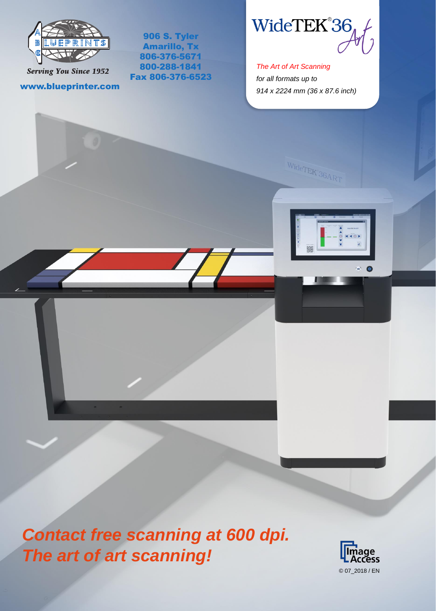

906 S. Tyler Amarillo, Tx 806-376-5671 800-288-1841 Fax 806-376-6523

**Serving You Since 1952** 

www.blueprinter.com

WideTEK®36

*The Art of Art Scanning for all formats up to 914 x 2224 mm (36 x 87.6 inch)*

 $\frac{\text{Wider}_{\text{ERR}}}{\text{Wider}_{\text{ERR}} + \text{Wier}_{\text{ERR}} + \text{Wier}_{\text{ERR}} + \text{Wier}_{\text{ERR}} + \text{Wier}_{\text{ERR}} + \text{Wier}_{\text{ERR}} + \text{Wier}_{\text{ERR}} + \text{Wier}_{\text{ERR}} + \text{Wier}_{\text{ERR}} + \text{Wier}_{\text{ERR}} + \text{Wier}_{\text{ERR}} + \text{Wier}_{\text{ERR}} + \text{Wier}_{\text{ERR}} + \text{Wier}_{\text{ERR}} + \text{Wier}_{\text{ERR}} + \text{Wier}_{\text{ER$ 



*Contact free scanning at 600 dpi. The art of art scanning!* 

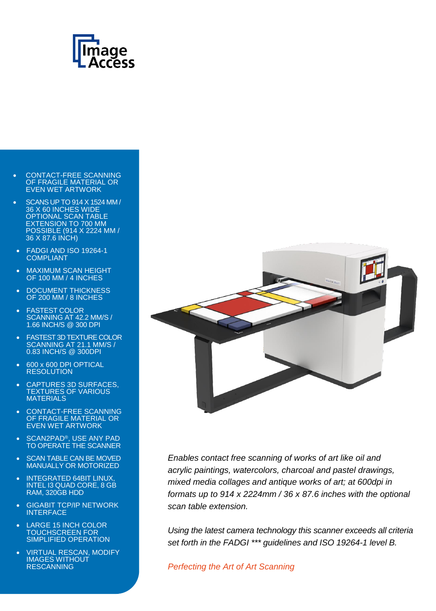

- CONTACT-FREE SCANNING OF FRAGILE MATERIAL OR EVEN WET ARTWORK
- SCANS UP TO 914 X 1524 MM / 36 X 60 INCHES WIDE OPTIONAL SCAN TABLE EXTENSION TO 700 MM POSSIBLE (914 X 2224 MM / 36 X 87.6 INCH)
- FADGI AND ISO 19264-1 COMPLIANT
- MAXIMUM SCAN HEIGHT OF 100 MM / 4 INCHES
- DOCUMENT THICKNESS OF 200 MM / 8 INCHES
- FASTEST COLOR SCANNING AT 42.2 MM/S / 1.66 INCH/S @ 300 DPI
- FASTEST 3D TEXTURE COLOR SCANNING AT 21.1 MM/S / 0.83 INCH/S @ 300DPI
- 600 x 600 DPI OPTICAL **RESOLUTION**
- CAPTURES 3D SURFACES, TEXTURES OF VARIOUS **MATERIALS**
- CONTACT-FREE SCANNING OF FRAGILE MATERIAL OR EVEN WET ARTWORK
- SCAN2PAD®, USE ANY PAD TO OPERATE THE SCANNER
- SCAN TABLE CAN BE MOVED MANUALLY OR MOTORIZED
- INTEGRATED 64BIT LINUX, INTEL I3 QUAD CORE, 8 GB RAM, 320GB HDD
- GIGABIT TCP/IP NETWORK INTERFACE
- LARGE 15 INCH COLOR TOUCHSCREEN FOR SIMPLIFIED OPERATION
- VIRTUAL RESCAN, MODIFY IMAGES WITHOUT **RESCANNING**



*Enables contact free scanning of works of art like oil and acrylic paintings, watercolors, charcoal and pastel drawings, mixed media collages and antique works of art; at 600dpi in formats up to 914 x 2224mm / 36 x 87.6 inches with the optional scan table extension.*

*Using the latest camera technology this scanner exceeds all criteria set forth in the FADGI \*\*\* guidelines and ISO 19264-1 level B.*

*Perfecting the Art of Art Scanning*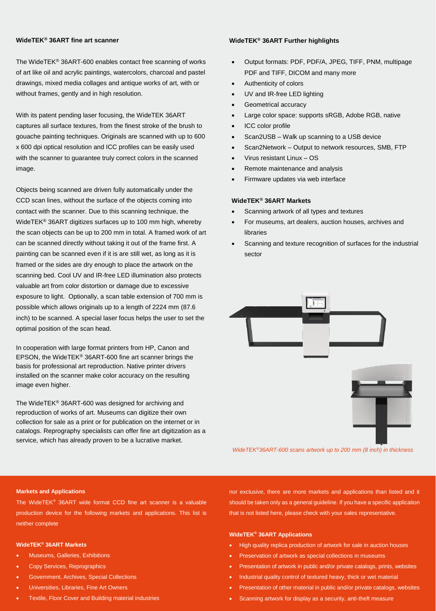# **WideTEK® 36ART fine art scanner**

The WideTEK® 36ART-600 enables contact free scanning of works of art like oil and acrylic paintings, watercolors, charcoal and pastel drawings, mixed media collages and antique works of art, with or without frames, gently and in high resolution.

With its patent pending laser focusing, the WideTEK 36ART captures all surface textures, from the finest stroke of the brush to gouache painting techniques. Originals are scanned with up to 600 x 600 dpi optical resolution and ICC profiles can be easily used with the scanner to guarantee truly correct colors in the scanned image.

Objects being scanned are driven fully automatically under the CCD scan lines, without the surface of the objects coming into contact with the scanner. Due to this scanning technique, the WideTEK® 36ART digitizes surfaces up to 100 mm high, whereby the scan objects can be up to 200 mm in total. A framed work of art can be scanned directly without taking it out of the frame first. A painting can be scanned even if it is are still wet, as long as it is framed or the sides are dry enough to place the artwork on the scanning bed. Cool UV and IR-free LED illumination also protects valuable art from color distortion or damage due to excessive exposure to light. Optionally, a scan table extension of 700 mm is possible which allows originals up to a length of 2224 mm (87.6 inch) to be scanned. A special laser focus helps the user to set the optimal position of the scan head.

In cooperation with large format printers from HP, Canon and EPSON, the WideTEK® 36ART-600 fine art scanner brings the basis for professional art reproduction. Native printer drivers installed on the scanner make color accuracy on the resulting image even higher.

The WideTEK® 36ART-600 was designed for archiving and reproduction of works of art. Museums can digitize their own collection for sale as a print or for publication on the internet or in catalogs. Reprography specialists can offer fine art digitization as a service, which has already proven to be a lucrative market.

## **WideTEK® 36ART Further highlights**

- Output formats: PDF, PDF/A, JPEG, TIFF, PNM, multipage PDF and TIFF, DICOM and many more
- Authenticity of colors
- UV and IR-free LED lighting
- Geometrical accuracy
- Large color space: supports sRGB, Adobe RGB, native
- ICC color profile
- Scan2USB Walk up scanning to a USB device
- Scan2Network Output to network resources, SMB, FTP
- Virus resistant Linux OS
- Remote maintenance and analysis
- Firmware updates via web interface

## **WideTEK® 36ART Markets**

- Scanning artwork of all types and textures
- For museums, art dealers, auction houses, archives and libraries
- Scanning and texture recognition of surfaces for the industrial sector



 *WideTEK®36ART-600 scans artwork up to 200 mm (8 inch) in thickness*

## **Markets and Applications**

The WideTEK® 36ART wide format CCD fine art scanner is a valuable production device for the following markets and applications. This list is neither complete

## **WideTEK® 36ART Markets**

- Museums, Galleries, Exhibitions
- Copy Services, Reprographics
- Government, Archives, Special Collections
- Universities, Libraries, Fine Art Owners
- Textile, Floor Cover and Building material industries

nor exclusive, there are more markets and applications than listed and it should be taken only as a general guideline. If you have a specific application that is not listed here, please check with your sales representative.

### **WideTEK® 36ART Applications**

- High quality replica production of artwork for sale in auction houses
- Preservation of artwork as special collections in museums
- Presentation of artwork in public and/or private catalogs, prints, websites
- Industrial quality control of textured heavy, thick or wet material
- Presentation of other material in public and/or private catalogs, websites
- Scanning artwork for display as a security, anti-theft measure